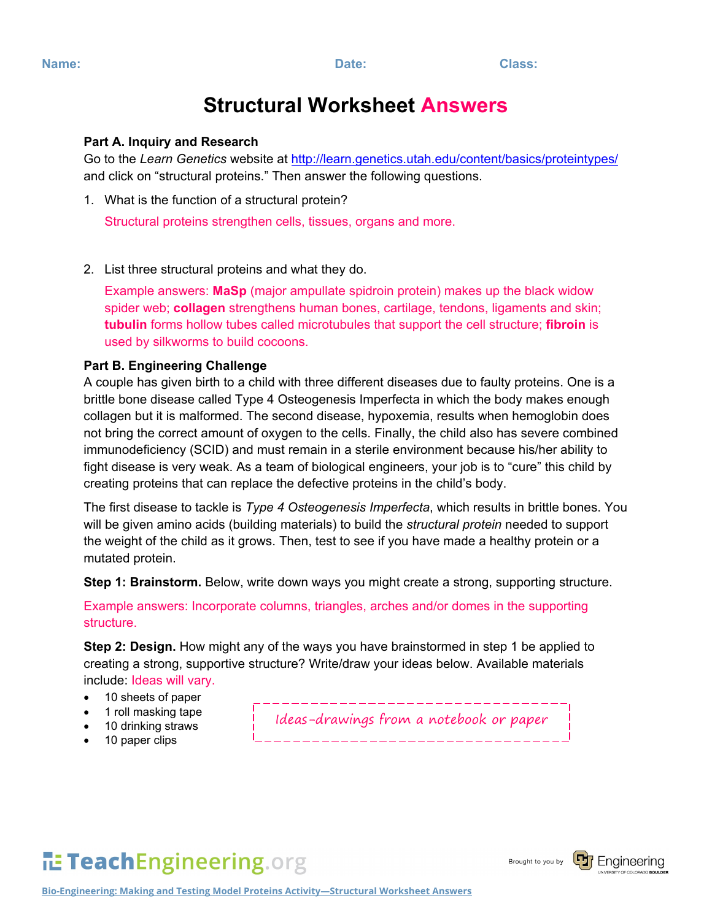## **Structural Worksheet Answers**

## **Part A. Inquiry and Research**

Go to the *Learn Genetics* website at<http://learn.genetics.utah.edu/content/basics/proteintypes/> and click on "structural proteins." Then answer the following questions.

1. What is the function of a structural protein?

Structural proteins strengthen cells, tissues, organs and more.

2. List three structural proteins and what they do.

Example answers: **MaSp** (major ampullate spidroin protein) makes up the black widow spider web; **collagen** strengthens human bones, cartilage, tendons, ligaments and skin; **tubulin** forms hollow tubes called microtubules that support the cell structure; **fibroin** is used by silkworms to build cocoons.

## **Part B. Engineering Challenge**

A couple has given birth to a child with three different diseases due to faulty proteins. One is a brittle bone disease called Type 4 Osteogenesis Imperfecta in which the body makes enough collagen but it is malformed. The second disease, hypoxemia, results when hemoglobin does not bring the correct amount of oxygen to the cells. Finally, the child also has severe combined immunodeficiency (SCID) and must remain in a sterile environment because his/her ability to fight disease is very weak. As a team of biological engineers, your job is to "cure" this child by creating proteins that can replace the defective proteins in the child's body.

The first disease to tackle is *Type 4 Osteogenesis Imperfecta*, which results in brittle bones. You will be given amino acids (building materials) to build the *structural protein* needed to support the weight of the child as it grows. Then, test to see if you have made a healthy protein or a mutated protein.

**Step 1: Brainstorm.** Below, write down ways you might create a strong, supporting structure.

Example answers: Incorporate columns, triangles, arches and/or domes in the supporting structure.

**Step 2: Design.** How might any of the ways you have brainstormed in step 1 be applied to creating a strong, supportive structure? Write/draw your ideas below. Available materials include: Ideas will vary.

- 10 sheets of paper
- 1 roll masking tape
- 10 drinking straws
- 10 paper clips

Ideas-drawings from a notebook or paper

TeachEngineering.org



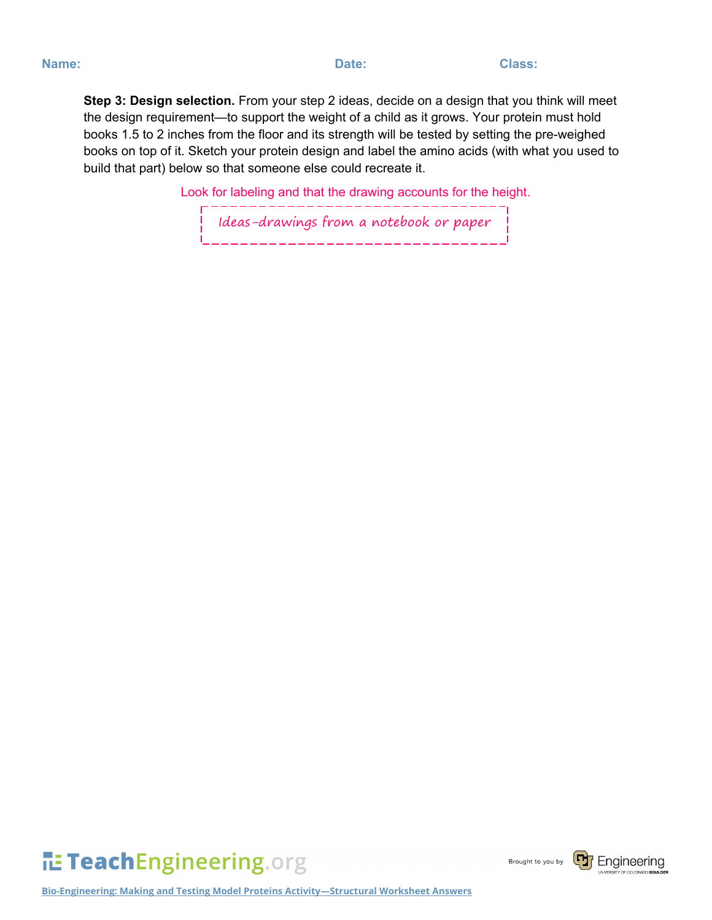**Step 3: Design selection.** From your step 2 ideas, decide on a design that you think will meet the design requirement—to support the weight of a child as it grows. Your protein must hold books 1.5 to 2 inches from the floor and its strength will be tested by setting the pre-weighed books on top of it. Sketch your protein design and label the amino acids (with what you used to build that part) below so that someone else could recreate it.

> Look for labeling and that the drawing accounts for the height. \_ \_\_ \_ \_ \_ \_ \_ \_ \_ \_ \_ \_ \_ \_

Ideas-drawings from a notebook or paper



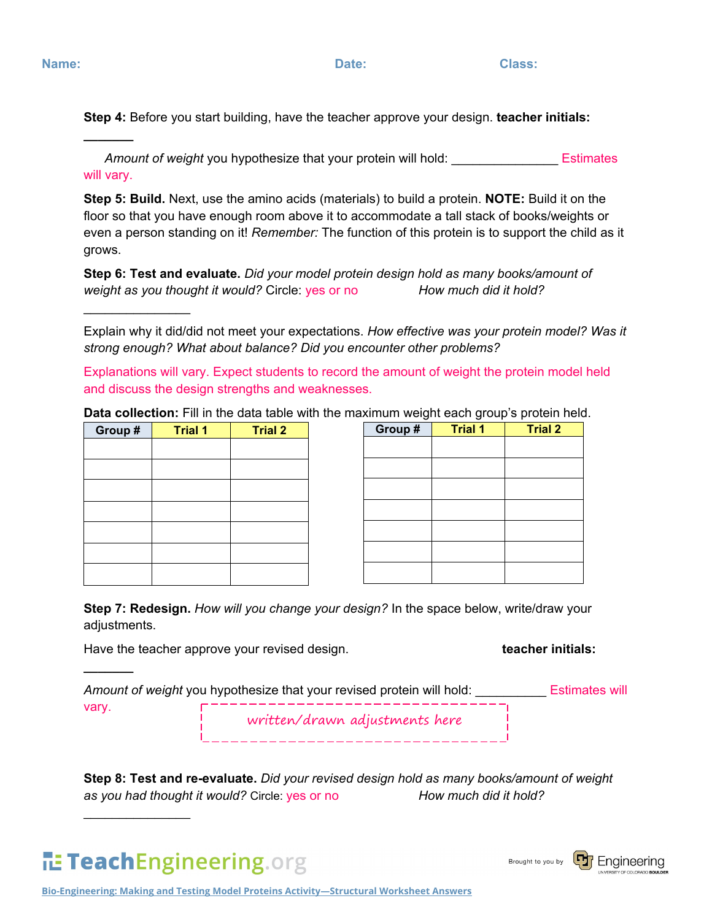**\_\_\_\_\_\_\_**

 $\frac{1}{2}$ 

**\_\_\_\_\_\_\_**

**Step 4:** Before you start building, have the teacher approve your design. **teacher initials:** 

*Amount of weight* you hypothesize that your protein will hold: \_\_\_\_\_\_\_\_\_\_\_\_\_\_\_ Estimates will vary.

**Step 5: Build.** Next, use the amino acids (materials) to build a protein. **NOTE:** Build it on the floor so that you have enough room above it to accommodate a tall stack of books/weights or even a person standing on it! *Remember:* The function of this protein is to support the child as it grows.

**Step 6: Test and evaluate.** *Did your model protein design hold as many books/amount of weight as you thought it would?* Circle: yes or no *How much did it hold?*

Explain why it did/did not meet your expectations. *How effective was your protein model? Was it strong enough? What about balance? Did you encounter other problems?*

Explanations will vary. Expect students to record the amount of weight the protein model held and discuss the design strengths and weaknesses.

**Data collection:** Fill in the data table with the maximum weight each group's protein held.

| Group # | <b>Trial 1</b> | <b>Trial 2</b> |
|---------|----------------|----------------|
|         |                |                |
|         |                |                |
|         |                |                |
|         |                |                |
|         |                |                |
|         |                |                |
|         |                |                |

| Group# | <b>Trial 1</b> | <b>Trial 2</b> |
|--------|----------------|----------------|
|        |                |                |
|        |                |                |
|        |                |                |
|        |                |                |
|        |                |                |
|        |                |                |
|        |                |                |
|        |                |                |

**Step 7: Redesign.** *How will you change your design?* In the space below, write/draw your adjustments.

Have the teacher approve your revised design.

| Amount of weight you hypothesize that your revised protein will hold: | Estimates will                 |  |  |
|-----------------------------------------------------------------------|--------------------------------|--|--|
| vary.                                                                 | written/drawn adjustments here |  |  |

**Step 8: Test and re-evaluate.** *Did your revised design hold as many books/amount of weight as you had thought it would?* Circle: yes or no *How much did it hold?*



 $\frac{1}{2}$ 

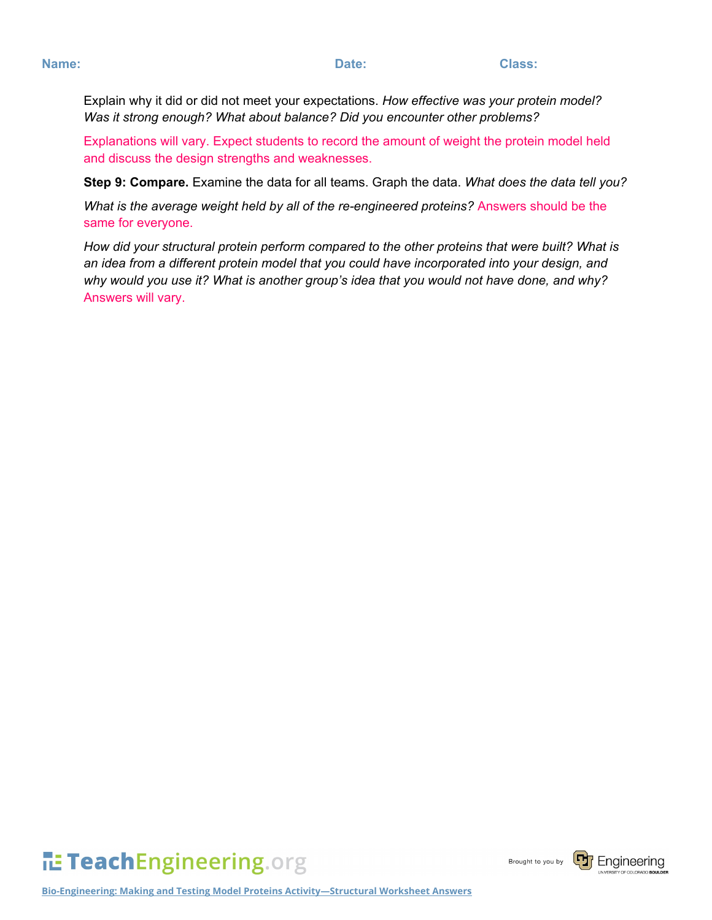Explain why it did or did not meet your expectations. *How effective was your protein model? Was it strong enough? What about balance? Did you encounter other problems?*

Explanations will vary. Expect students to record the amount of weight the protein model held and discuss the design strengths and weaknesses.

**Step 9: Compare.** Examine the data for all teams. Graph the data. *What does the data tell you?*

*What is the average weight held by all of the re-engineered proteins?* Answers should be the same for everyone.

*How did your structural protein perform compared to the other proteins that were built? What is an idea from a different protein model that you could have incorporated into your design, and why would you use it? What is another group's idea that you would not have done, and why?* Answers will vary.

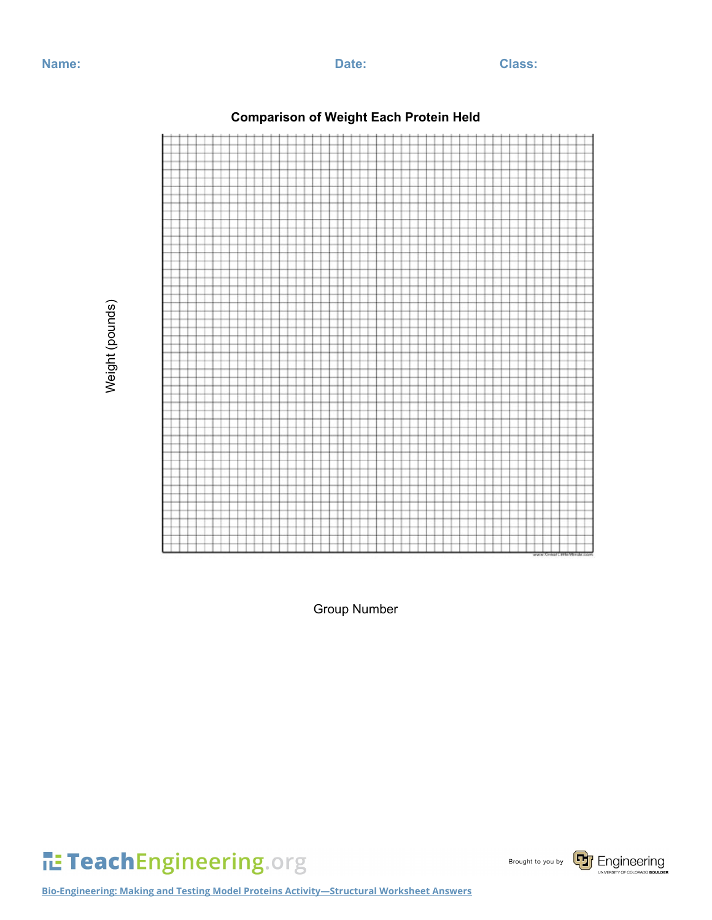Weight (pounds)

Weight (pounds)



**Comparison of Weight Each Protein Held**

Group Number

TeachEngineering.org

Brought to you by